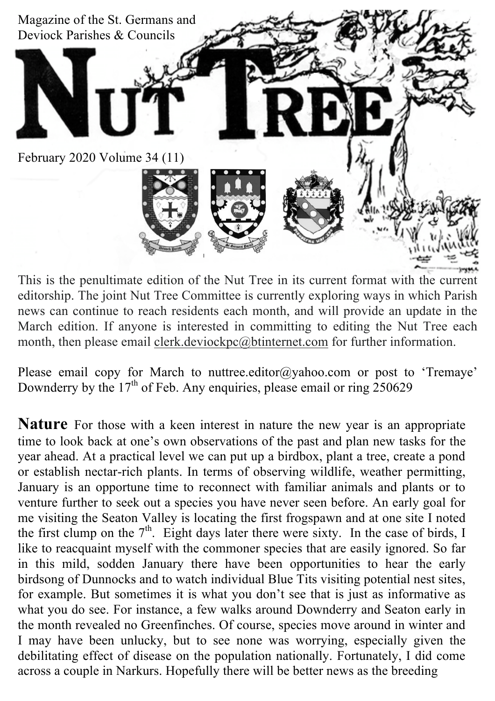

This is the penultimate edition of the Nut Tree in its current format with the current editorship. The joint Nut Tree Committee is currently exploring ways in which Parish news can continue to reach residents each month, and will provide an update in the March edition. If anyone is interested in committing to editing the Nut Tree each month, then please email clerk.deviockpc@btinternet.com for further information.

Please email copy for March to nuttree.editor@yahoo.com or post to 'Tremaye' Downderry by the  $17<sup>th</sup>$  of Feb. Any enquiries, please email or ring 250629

**Nature** For those with a keen interest in nature the new year is an appropriate time to look back at one's own observations of the past and plan new tasks for the year ahead. At a practical level we can put up a birdbox, plant a tree, create a pond or establish nectar-rich plants. In terms of observing wildlife, weather permitting, January is an opportune time to reconnect with familiar animals and plants or to venture further to seek out a species you have never seen before. An early goal for me visiting the Seaton Valley is locating the first frogspawn and at one site I noted the first clump on the  $7<sup>th</sup>$ . Eight days later there were sixty. In the case of birds, I like to reacquaint myself with the commoner species that are easily ignored. So far in this mild, sodden January there have been opportunities to hear the early birdsong of Dunnocks and to watch individual Blue Tits visiting potential nest sites, for example. But sometimes it is what you don't see that is just as informative as what you do see. For instance, a few walks around Downderry and Seaton early in the month revealed no Greenfinches. Of course, species move around in winter and I may have been unlucky, but to see none was worrying, especially given the debilitating effect of disease on the population nationally. Fortunately, I did come across a couple in Narkurs. Hopefully there will be better news as the breeding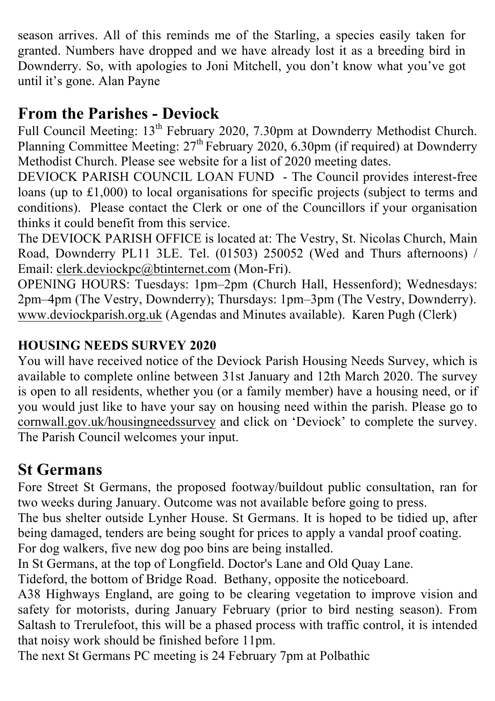season arrives. All of this reminds me of the Starling, a species easily taken for granted. Numbers have dropped and we have already lost it as a breeding bird in Downderry. So, with apologies to Joni Mitchell, you don't know what you've got until it's gone. Alan Payne

# **From the Parishes - Deviock**

Full Council Meeting: 13<sup>th</sup> February 2020, 7.30pm at Downderry Methodist Church. Planning Committee Meeting:  $27<sup>th</sup>$  February 2020, 6.30pm (if required) at Downderry Methodist Church. Please see website for a list of 2020 meeting dates.

DEVIOCK PARISH COUNCIL LOAN FUND - The Council provides interest-free loans (up to £1,000) to local organisations for specific projects (subject to terms and conditions). Please contact the Clerk or one of the Councillors if your organisation thinks it could benefit from this service.

The DEVIOCK PARISH OFFICE is located at: The Vestry, St. Nicolas Church, Main Road, Downderry PL11 3LE. Tel. (01503) 250052 (Wed and Thurs afternoons) / Email: clerk.deviockpc@btinternet.com (Mon-Fri).

OPENING HOURS: Tuesdays: 1pm–2pm (Church Hall, Hessenford); Wednesdays: 2pm–4pm (The Vestry, Downderry); Thursdays: 1pm–3pm (The Vestry, Downderry). www.deviockparish.org.uk (Agendas and Minutes available). Karen Pugh (Clerk)

## **HOUSING NEEDS SURVEY 2020**

You will have received notice of the Deviock Parish Housing Needs Survey, which is available to complete online between 31st January and 12th March 2020. The survey is open to all residents, whether you (or a family member) have a housing need, or if you would just like to have your say on housing need within the parish. Please go to cornwall.gov.uk/housingneedssurvey and click on 'Deviock' to complete the survey. The Parish Council welcomes your input.

# **St Germans**

Fore Street St Germans, the proposed footway/buildout public consultation, ran for two weeks during January. Outcome was not available before going to press.

The bus shelter outside Lynher House. St Germans. It is hoped to be tidied up, after being damaged, tenders are being sought for prices to apply a vandal proof coating.

For dog walkers, five new dog poo bins are being installed.

In St Germans, at the top of Longfield. Doctor's Lane and Old Quay Lane.

Tideford, the bottom of Bridge Road. Bethany, opposite the noticeboard.

A38 Highways England, are going to be clearing vegetation to improve vision and safety for motorists, during January February (prior to bird nesting season). From Saltash to Trerulefoot, this will be a phased process with traffic control, it is intended that noisy work should be finished before 11pm.

The next St Germans PC meeting is 24 February 7pm at Polbathic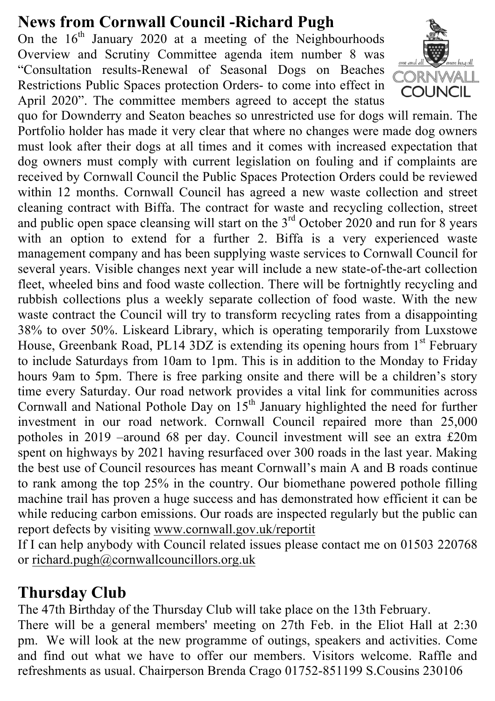# **News from Cornwall Council -Richard Pugh**

On the  $16<sup>th</sup>$  January 2020 at a meeting of the Neighbourhoods Overview and Scrutiny Committee agenda item number 8 was "Consultation results-Renewal of Seasonal Dogs on Beaches Restrictions Public Spaces protection Orders- to come into effect in April 2020". The committee members agreed to accept the status



quo for Downderry and Seaton beaches so unrestricted use for dogs will remain. The Portfolio holder has made it very clear that where no changes were made dog owners must look after their dogs at all times and it comes with increased expectation that dog owners must comply with current legislation on fouling and if complaints are received by Cornwall Council the Public Spaces Protection Orders could be reviewed within 12 months. Cornwall Council has agreed a new waste collection and street cleaning contract with Biffa. The contract for waste and recycling collection, street and public open space cleansing will start on the  $3<sup>rd</sup>$  October 2020 and run for 8 years with an option to extend for a further 2. Biffa is a very experienced waste management company and has been supplying waste services to Cornwall Council for several years. Visible changes next year will include a new state-of-the-art collection fleet, wheeled bins and food waste collection. There will be fortnightly recycling and rubbish collections plus a weekly separate collection of food waste. With the new waste contract the Council will try to transform recycling rates from a disappointing 38% to over 50%. Liskeard Library, which is operating temporarily from Luxstowe House, Greenbank Road, PL14 3DZ is extending its opening hours from 1<sup>st</sup> February to include Saturdays from 10am to 1pm. This is in addition to the Monday to Friday hours 9am to 5pm. There is free parking onsite and there will be a children's story time every Saturday. Our road network provides a vital link for communities across Cornwall and National Pothole Day on  $15<sup>th</sup>$  January highlighted the need for further investment in our road network. Cornwall Council repaired more than 25,000 potholes in 2019 –around 68 per day. Council investment will see an extra £20m spent on highways by 2021 having resurfaced over 300 roads in the last year. Making the best use of Council resources has meant Cornwall's main A and B roads continue to rank among the top 25% in the country. Our biomethane powered pothole filling machine trail has proven a huge success and has demonstrated how efficient it can be while reducing carbon emissions. Our roads are inspected regularly but the public can report defects by visiting www.cornwall.gov.uk/reportit

If I can help anybody with Council related issues please contact me on 01503 220768 or richard.pugh@cornwallcouncillors.org.uk

# **Thursday Club**

The 47th Birthday of the Thursday Club will take place on the 13th February.

There will be a general members' meeting on 27th Feb. in the Eliot Hall at 2:30 pm. We will look at the new programme of outings, speakers and activities. Come and find out what we have to offer our members. Visitors welcome. Raffle and refreshments as usual. Chairperson Brenda Crago 01752-851199 S.Cousins 230106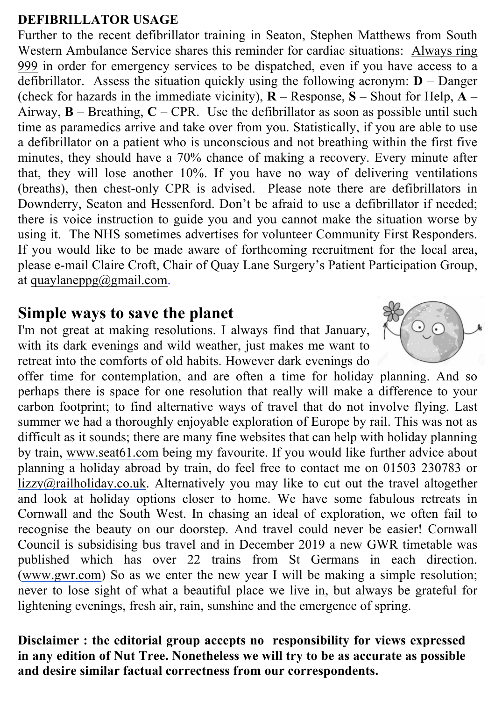## **DEFIBRILLATOR USAGE**

Further to the recent defibrillator training in Seaton, Stephen Matthews from South Western Ambulance Service shares this reminder for cardiac situations: Always ring 999 in order for emergency services to be dispatched, even if you have access to a defibrillator. Assess the situation quickly using the following acronym: **D** – Danger (check for hazards in the immediate vicinity),  $\bf{R}$  – Response,  $\bf{S}$  – Shout for Help,  $\bf{A}$  – Airway,  $\bf{B}$  – Breathing,  $\bf{C}$  – CPR. Use the defibrillator as soon as possible until such time as paramedics arrive and take over from you. Statistically, if you are able to use a defibrillator on a patient who is unconscious and not breathing within the first five minutes, they should have a 70% chance of making a recovery. Every minute after that, they will lose another 10%. If you have no way of delivering ventilations (breaths), then chest-only CPR is advised. Please note there are defibrillators in Downderry, Seaton and Hessenford. Don't be afraid to use a defibrillator if needed; there is voice instruction to guide you and you cannot make the situation worse by using it. The NHS sometimes advertises for volunteer Community First Responders. If you would like to be made aware of forthcoming recruitment for the local area, please e-mail Claire Croft, Chair of Quay Lane Surgery's Patient Participation Group, at quaylaneppg $@g$ mail.com.

## **Simple ways to save the planet**

I'm not great at making resolutions. I always find that January, with its dark evenings and wild weather, just makes me want to retreat into the comforts of old habits. However dark evenings do

offer time for contemplation, and are often a time for holiday planning. And so perhaps there is space for one resolution that really will make a difference to your carbon footprint; to find alternative ways of travel that do not involve flying. Last summer we had a thoroughly enjoyable exploration of Europe by rail. This was not as difficult as it sounds; there are many fine websites that can help with holiday planning by train, www.seat61.com being my favourite. If you would like further advice about planning a holiday abroad by train, do feel free to contact me on 01503 230783 or lizzy@railholiday.co.uk. Alternatively you may like to cut out the travel altogether and look at holiday options closer to home. We have some fabulous retreats in Cornwall and the South West. In chasing an ideal of exploration, we often fail to recognise the beauty on our doorstep. And travel could never be easier! Cornwall Council is subsidising bus travel and in December 2019 a new GWR timetable was published which has over 22 trains from St Germans in each direction. (www.gwr.com) So as we enter the new year I will be making a simple resolution; never to lose sight of what a beautiful place we live in, but always be grateful for lightening evenings, fresh air, rain, sunshine and the emergence of spring.

**Disclaimer : the editorial group accepts no responsibility for views expressed in any edition of Nut Tree. Nonetheless we will try to be as accurate as possible and desire similar factual correctness from our correspondents.**

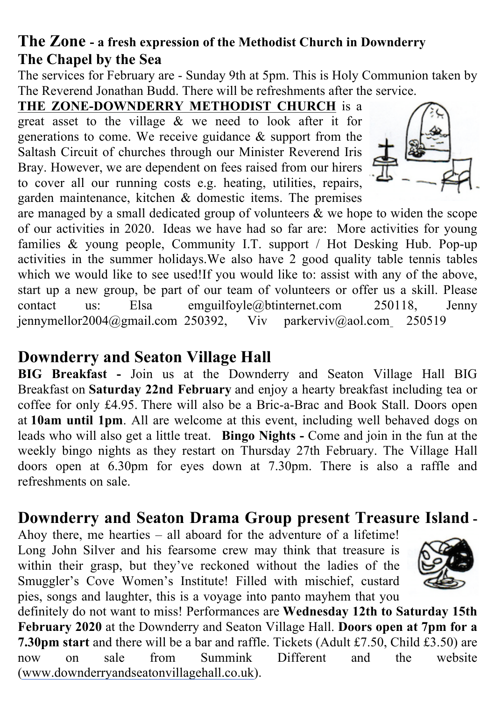# **The Zone - a fresh expression of the Methodist Church in Downderry The Chapel by the Sea**

The services for February are - Sunday 9th at 5pm. This is Holy Communion taken by The Reverend Jonathan Budd. There will be refreshments after the service.

**THE ZONE-DOWNDERRY METHODIST CHURCH** is a great asset to the village & we need to look after it for generations to come. We receive guidance & support from the Saltash Circuit of churches through our Minister Reverend Iris Bray. However, we are dependent on fees raised from our hirers to cover all our running costs e.g. heating, utilities, repairs, garden maintenance, kitchen & domestic items. The premises



are managed by a small dedicated group of volunteers & we hope to widen the scope of our activities in 2020. Ideas we have had so far are: More activities for young families & young people, Community I.T. support / Hot Desking Hub. Pop-up activities in the summer holidays.We also have 2 good quality table tennis tables which we would like to see used!If you would like to: assist with any of the above, start up a new group, be part of our team of volunteers or offer us a skill. Please contact us: Elsa emguilfoyle@btinternet.com 250118, Jenny jennymellor2004@gmail.com 250392, Viv parkerviv@aol.com 250519

# **Downderry and Seaton Village Hall**

**BIG Breakfast -** Join us at the Downderry and Seaton Village Hall BIG Breakfast on **Saturday 22nd February** and enjoy a hearty breakfast including tea or coffee for only £4.95. There will also be a Bric-a-Brac and Book Stall. Doors open at **10am until 1pm**. All are welcome at this event, including well behaved dogs on leads who will also get a little treat. **Bingo Nights -** Come and join in the fun at the weekly bingo nights as they restart on Thursday 27th February. The Village Hall doors open at 6.30pm for eyes down at 7.30pm. There is also a raffle and refreshments on sale.

# **Downderry and Seaton Drama Group present Treasure Island -**

Ahoy there, me hearties – all aboard for the adventure of a lifetime! Long John Silver and his fearsome crew may think that treasure is within their grasp, but they've reckoned without the ladies of the Smuggler's Cove Women's Institute! Filled with mischief, custard pies, songs and laughter, this is a voyage into panto mayhem that you



definitely do not want to miss! Performances are **Wednesday 12th to Saturday 15th February 2020** at the Downderry and Seaton Village Hall. **Doors open at 7pm for a 7.30pm start** and there will be a bar and raffle. Tickets (Adult £7.50, Child £3.50) are now on sale from Summink Different and the website (www.downderryandseatonvillagehall.co.uk).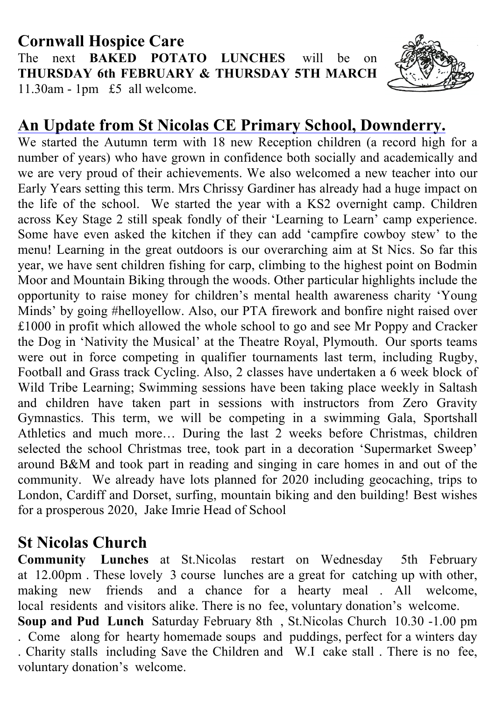## **Cornwall Hospice Care** The next **BAKED POTATO LUNCHES** will be on **THURSDAY 6th FEBRUARY & THURSDAY 5TH MARCH** 11.30am - 1pm £5 all welcome.



# **An Update from St Nicolas CE Primary School, Downderry.**

We started the Autumn term with 18 new Reception children (a record high for a number of years) who have grown in confidence both socially and academically and we are very proud of their achievements. We also welcomed a new teacher into our Early Years setting this term. Mrs Chrissy Gardiner has already had a huge impact on the life of the school. We started the year with a KS2 overnight camp. Children across Key Stage 2 still speak fondly of their 'Learning to Learn' camp experience. Some have even asked the kitchen if they can add 'campfire cowboy stew' to the menu! Learning in the great outdoors is our overarching aim at St Nics. So far this year, we have sent children fishing for carp, climbing to the highest point on Bodmin Moor and Mountain Biking through the woods. Other particular highlights include the opportunity to raise money for children's mental health awareness charity 'Young Minds' by going #helloyellow. Also, our PTA firework and bonfire night raised over £1000 in profit which allowed the whole school to go and see Mr Poppy and Cracker the Dog in 'Nativity the Musical' at the Theatre Royal, Plymouth. Our sports teams were out in force competing in qualifier tournaments last term, including Rugby, Football and Grass track Cycling. Also, 2 classes have undertaken a 6 week block of Wild Tribe Learning; Swimming sessions have been taking place weekly in Saltash and children have taken part in sessions with instructors from Zero Gravity Gymnastics. This term, we will be competing in a swimming Gala, Sportshall Athletics and much more… During the last 2 weeks before Christmas, children selected the school Christmas tree, took part in a decoration 'Supermarket Sweep' around B&M and took part in reading and singing in care homes in and out of the community. We already have lots planned for 2020 including geocaching, trips to London, Cardiff and Dorset, surfing, mountain biking and den building! Best wishes for a prosperous 2020, Jake Imrie Head of School

# **St Nicolas Church**

**Community Lunches** at St.Nicolas restart on Wednesday 5th February at 12.00pm . These lovely 3 course lunches are a great for catching up with other, making new friends and a chance for a hearty meal. All welcome, local residents and visitors alike. There is no fee, voluntary donation's welcome.

**Soup and Pud Lunch** Saturday February 8th , St.Nicolas Church 10.30 -1.00 pm . Come along for hearty homemade soups and puddings, perfect for a winters day . Charity stalls including Save the Children and W.I cake stall . There is no fee, voluntary donation's welcome.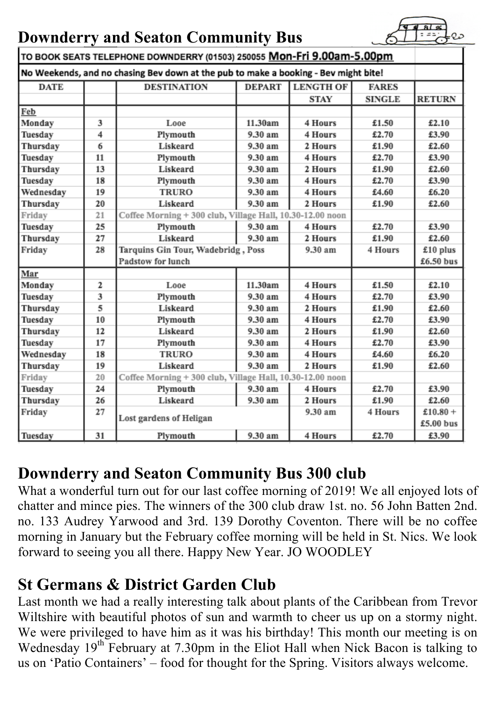# **Downderry and Seaton Community Bus**



| TO BOOK SEATS TELEPHONE DOWNDERRY (01503) 250055 Mon-Fri 9.00am-5.00pm              |    |                                                           |               |                  |               |               |  |
|-------------------------------------------------------------------------------------|----|-----------------------------------------------------------|---------------|------------------|---------------|---------------|--|
| No Weekends, and no chasing Bev down at the pub to make a booking - Bev might bite! |    |                                                           |               |                  |               |               |  |
| <b>DATE</b>                                                                         |    | <b>DESTINATION</b>                                        | <b>DEPART</b> | <b>LENGTH OF</b> | <b>FARES</b>  |               |  |
|                                                                                     |    |                                                           |               | <b>STAY</b>      | <b>SINGLE</b> | <b>RETURN</b> |  |
| Feb                                                                                 |    |                                                           |               |                  |               |               |  |
| Monday                                                                              | 3  | Looe                                                      | 11.30am       | 4 Hours          | £1.50         | £2.10         |  |
| Tuesday                                                                             | 4  | Plymouth                                                  | 9.30 am       | 4 Hours          | £2.70         | £3.90         |  |
| Thursday                                                                            | 6  | Liskeard                                                  | 9.30 am       | 2 Hours          | £1.90         | £2.60         |  |
| Tuesday                                                                             | 11 | Plymouth                                                  | 9.30 am       | 4 Hours          | £2.70         | £3.90         |  |
| Thursday                                                                            | 13 | Liskeard                                                  | 9.30 am       | 2 Hours          | £1.90         | £2.60         |  |
| Tuesday                                                                             | 18 | Plymouth                                                  | 9.30 am       | 4 Hours          | £2.70         | £3.90         |  |
| Wednesday                                                                           | 19 | <b>TRURO</b>                                              | 9.30 am       | 4 Hours          | £4.60         | £6.20         |  |
| Thursday                                                                            | 20 | Liskeard                                                  | 9.30 am       | 2 Hours          | £1.90         | £2.60         |  |
| Friday                                                                              | 21 | Coffee Morning + 300 club, Village Hall, 10.30-12.00 noon |               |                  |               |               |  |
| Tuesday                                                                             | 25 | Plymouth                                                  | 9.30 am       | 4 Hours          | £2.70         | £3.90         |  |
| Thursday                                                                            | 27 | Liskeard                                                  | 9.30 am       | 2 Hours          | £1.90         | £2.60         |  |
| Friday                                                                              | 28 | Tarquins Gin Tour, Wadebridg, Poss                        |               | 9.30 am          | 4 Hours       | $£10$ plus    |  |
|                                                                                     |    | Padstow for lunch                                         |               |                  |               | £6.50 bus     |  |
| Mar                                                                                 |    |                                                           |               |                  |               |               |  |
| Monday                                                                              | 2  | Looe                                                      | 11.30am       | 4 Hours          | £1.50         | £2.10         |  |
| Tuesday                                                                             | 3  | Plymouth                                                  | 9.30 am       | 4 Hours          | £2.70         | £3.90         |  |
| Thursday                                                                            | 5  | Liskeard                                                  | 9.30 am       | 2 Hours          | £1.90         | £2.60         |  |
| Tuesday                                                                             | 10 | Plymouth                                                  | 9.30 am       | 4 Hours          | £2.70         | £3.90         |  |
| Thursday                                                                            | 12 | Liskeard                                                  | 9.30 am       | 2 Hours          | £1.90         | £2.60         |  |
| Tuesday                                                                             | 17 | Plymouth                                                  | 9.30 am       | 4 Hours          | £2.70         | £3.90         |  |
| Wednesday                                                                           | 18 | <b>TRURO</b>                                              | 9.30 am       | 4 Hours          | £4.60         | £6.20         |  |
| Thursday                                                                            | 19 | Liskeard                                                  | 9.30 am       | 2 Hours          | £1.90         | £2.60         |  |
| Friday                                                                              | 20 | Coffee Morning + 300 club, Village Hall, 10.30-12.00 noon |               |                  |               |               |  |
| Tuesday                                                                             | 24 | Plymouth                                                  | 9.30 am       | 4 Hours          | £2.70         | £3.90         |  |
| Thursday                                                                            | 26 | Liskeard                                                  | 9.30 am       | 2 Hours          | £1.90         | £2.60         |  |
| Friday                                                                              | 27 | Lost gardens of Heligan                                   |               | 9.30 am          | 4 Hours       | £10.80 +      |  |
|                                                                                     |    |                                                           |               |                  |               | £5.00 bus     |  |
| Tuesday                                                                             | 31 | Plymouth                                                  | 9.30 am       | 4 Hours          | £2.70         | £3.90         |  |

# **Downderry and Seaton Community Bus 300 club**

What a wonderful turn out for our last coffee morning of 2019! We all enjoyed lots of chatter and mince pies. The winners of the 300 club draw 1st. no. 56 John Batten 2nd. no. 133 Audrey Yarwood and 3rd. 139 Dorothy Coventon. There will be no coffee morning in January but the February coffee morning will be held in St. Nics. We look forward to seeing you all there. Happy New Year. JO WOODLEY

# **St Germans & District Garden Club**

Last month we had a really interesting talk about plants of the Caribbean from Trevor Wiltshire with beautiful photos of sun and warmth to cheer us up on a stormy night. We were privileged to have him as it was his birthday! This month our meeting is on Wednesday 19<sup>th</sup> February at 7.30pm in the Eliot Hall when Nick Bacon is talking to us on 'Patio Containers' – food for thought for the Spring. Visitors always welcome.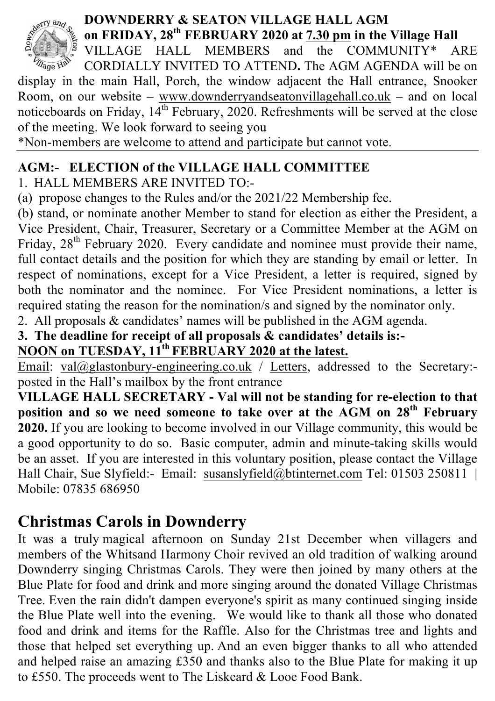

## **DOWNDERRY & SEATON VILLAGE HALL AGM on FRIDAY, 28th FEBRUARY 2020 at 7.30 pm in the Village Hall**

VILLAGE HALL MEMBERS and the COMMUNITY\* ARE *Village Halv* CORDIALLY INVITED TO ATTEND**.** The AGM AGENDA will be on display in the main Hall, Porch, the window adjacent the Hall entrance, Snooker Room, on our website – www.downderryandseatonvillagehall.co.uk – and on local noticeboards on Friday,  $14^{th}$  February, 2020. Refreshments will be served at the close of the meeting. We look forward to seeing you

\*Non-members are welcome to attend and participate but cannot vote.

## **AGM:- ELECTION of the VILLAGE HALL COMMITTEE**

1. HALL MEMBERS ARE INVITED TO:-

(a) propose changes to the Rules and/or the 2021/22 Membership fee.

(b) stand, or nominate another Member to stand for election as either the President, a Vice President, Chair, Treasurer, Secretary or a Committee Member at the AGM on Friday, 28<sup>th</sup> February 2020. Every candidate and nominee must provide their name, full contact details and the position for which they are standing by email or letter. In respect of nominations, except for a Vice President, a letter is required, signed by both the nominator and the nominee. For Vice President nominations, a letter is required stating the reason for the nomination/s and signed by the nominator only.

2. All proposals & candidates' names will be published in the AGM agenda.

**3. The deadline for receipt of all proposals & candidates' details is:-**

**NOON on TUESDAY, 11th FEBRUARY 2020 at the latest.**

Email: val@glastonbury-engineering.co.uk / Letters, addressed to the Secretary:posted in the Hall's mailbox by the front entrance

**VILLAGE HALL SECRETARY - Val will not be standing for re-election to that position and so we need someone to take over at the AGM on 28th February 2020.** If you are looking to become involved in our Village community, this would be a good opportunity to do so. Basic computer, admin and minute-taking skills would be an asset. If you are interested in this voluntary position, please contact the Village Hall Chair, Sue Slyfield:- Email: susanslyfield@btinternet.com Tel: 01503 250811 | Mobile: 07835 686950

# **Christmas Carols in Downderry**

It was a truly magical afternoon on Sunday 21st December when villagers and members of the Whitsand Harmony Choir revived an old tradition of walking around Downderry singing Christmas Carols. They were then joined by many others at the Blue Plate for food and drink and more singing around the donated Village Christmas Tree. Even the rain didn't dampen everyone's spirit as many continued singing inside the Blue Plate well into the evening. We would like to thank all those who donated food and drink and items for the Raffle. Also for the Christmas tree and lights and those that helped set everything up. And an even bigger thanks to all who attended and helped raise an amazing £350 and thanks also to the Blue Plate for making it up to £550. The proceeds went to The Liskeard & Looe Food Bank.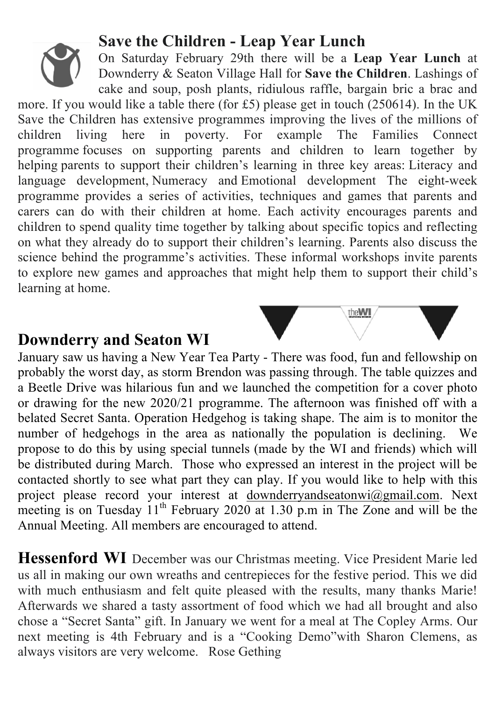# **Save the Children - Leap Year Lunch**

On Saturday February 29th there will be a **Leap Year Lunch** at Downderry & Seaton Village Hall for **Save the Children**. Lashings of cake and soup, posh plants, ridiulous raffle, bargain bric a brac and

more. If you would like a table there (for £5) please get in touch (250614). In the UK Save the Children has extensive programmes improving the lives of the millions of children living here in poverty. For example The Families Connect programme focuses on supporting parents and children to learn together by helping parents to support their children's learning in three key areas: Literacy and language development, Numeracy and Emotional development The eight-week programme provides a series of activities, techniques and games that parents and carers can do with their children at home. Each activity encourages parents and children to spend quality time together by talking about specific topics and reflecting on what they already do to support their children's learning. Parents also discuss the science behind the programme's activities. These informal workshops invite parents to explore new games and approaches that might help them to support their child's learning at home.

## **Downderry and Seaton WI**

January saw us having a New Year Tea Party - There was food, fun and fellowship on probably the worst day, as storm Brendon was passing through. The table quizzes and a Beetle Drive was hilarious fun and we launched the competition for a cover photo or drawing for the new 2020/21 programme. The afternoon was finished off with a belated Secret Santa. Operation Hedgehog is taking shape. The aim is to monitor the number of hedgehogs in the area as nationally the population is declining. We propose to do this by using special tunnels (made by the WI and friends) which will be distributed during March. Those who expressed an interest in the project will be contacted shortly to see what part they can play. If you would like to help with this project please record your interest at downderryandseatonwi@gmail.com. Next meeting is on Tuesday  $11<sup>th</sup>$  February 2020 at 1.30 p.m in The Zone and will be the Annual Meeting. All members are encouraged to attend.

**Hessenford WI** December was our Christmas meeting. Vice President Marie led us all in making our own wreaths and centrepieces for the festive period. This we did with much enthusiasm and felt quite pleased with the results, many thanks Marie! Afterwards we shared a tasty assortment of food which we had all brought and also chose a "Secret Santa" gift. In January we went for a meal at The Copley Arms. Our next meeting is 4th February and is a "Cooking Demo"with Sharon Clemens, as always visitors are very welcome. Rose Gething

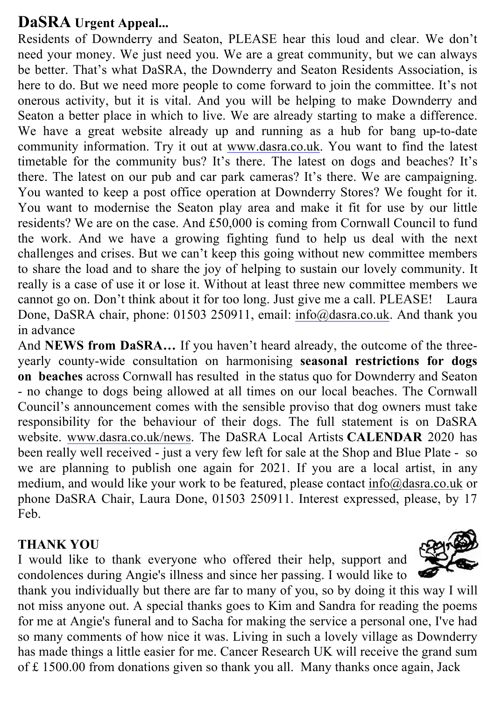## **DaSRA Urgent Appeal...**

Residents of Downderry and Seaton, PLEASE hear this loud and clear. We don't need your money. We just need you. We are a great community, but we can always be better. That's what DaSRA, the Downderry and Seaton Residents Association, is here to do. But we need more people to come forward to join the committee. It's not onerous activity, but it is vital. And you will be helping to make Downderry and Seaton a better place in which to live. We are already starting to make a difference. We have a great website already up and running as a hub for bang up-to-date community information. Try it out at www.dasra.co.uk. You want to find the latest timetable for the community bus? It's there. The latest on dogs and beaches? It's there. The latest on our pub and car park cameras? It's there. We are campaigning. You wanted to keep a post office operation at Downderry Stores? We fought for it. You want to modernise the Seaton play area and make it fit for use by our little residents? We are on the case. And £50,000 is coming from Cornwall Council to fund the work. And we have a growing fighting fund to help us deal with the next challenges and crises. But we can't keep this going without new committee members to share the load and to share the joy of helping to sustain our lovely community. It really is a case of use it or lose it. Without at least three new committee members we cannot go on. Don't think about it for too long. Just give me a call. PLEASE! Laura Done, DaSRA chair, phone: 01503 250911, email: info@dasra.co.uk. And thank you in advance

And **NEWS from DaSRA…** If you haven't heard already, the outcome of the threeyearly county-wide consultation on harmonising **seasonal restrictions for dogs on beaches** across Cornwall has resulted in the status quo for Downderry and Seaton - no change to dogs being allowed at all times on our local beaches. The Cornwall Council's announcement comes with the sensible proviso that dog owners must take responsibility for the behaviour of their dogs. The full statement is on DaSRA website. www.dasra.co.uk/news. The DaSRA Local Artists **CALENDAR** 2020 has been really well received - just a very few left for sale at the Shop and Blue Plate - so we are planning to publish one again for 2021. If you are a local artist, in any medium, and would like your work to be featured, please contact info@dasra.co.uk or phone DaSRA Chair, Laura Done, 01503 250911. Interest expressed, please, by 17 Feb.

### **THANK YOU**

I would like to thank everyone who offered their help, support and condolences during Angie's illness and since her passing. I would like to



thank you individually but there are far to many of you, so by doing it this way I will not miss anyone out. A special thanks goes to Kim and Sandra for reading the poems for me at Angie's funeral and to Sacha for making the service a personal one, I've had so many comments of how nice it was. Living in such a lovely village as Downderry has made things a little easier for me. Cancer Research UK will receive the grand sum of £ 1500.00 from donations given so thank you all. Many thanks once again, Jack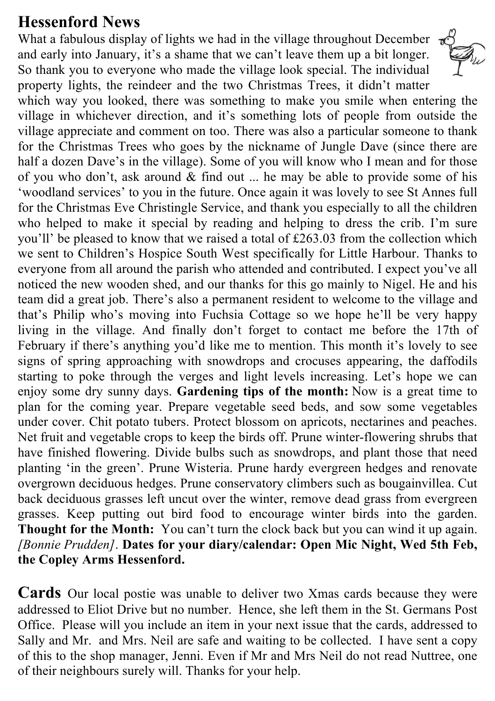# **Hessenford News**

What a fabulous display of lights we had in the village throughout December and early into January, it's a shame that we can't leave them up a bit longer. So thank you to everyone who made the village look special. The individual property lights, the reindeer and the two Christmas Trees, it didn't matter



which way you looked, there was something to make you smile when entering the village in whichever direction, and it's something lots of people from outside the village appreciate and comment on too. There was also a particular someone to thank for the Christmas Trees who goes by the nickname of Jungle Dave (since there are half a dozen Dave's in the village). Some of you will know who I mean and for those of you who don't, ask around  $\&$  find out ... he may be able to provide some of his 'woodland services' to you in the future. Once again it was lovely to see St Annes full for the Christmas Eve Christingle Service, and thank you especially to all the children who helped to make it special by reading and helping to dress the crib. I'm sure you'll' be pleased to know that we raised a total of £263.03 from the collection which we sent to Children's Hospice South West specifically for Little Harbour. Thanks to everyone from all around the parish who attended and contributed. I expect you've all noticed the new wooden shed, and our thanks for this go mainly to Nigel. He and his team did a great job. There's also a permanent resident to welcome to the village and that's Philip who's moving into Fuchsia Cottage so we hope he'll be very happy living in the village. And finally don't forget to contact me before the 17th of February if there's anything you'd like me to mention. This month it's lovely to see signs of spring approaching with snowdrops and crocuses appearing, the daffodils starting to poke through the verges and light levels increasing. Let's hope we can enjoy some dry sunny days. **Gardening tips of the month:** Now is a great time to plan for the coming year. Prepare vegetable seed beds, and sow some vegetables under cover. Chit potato tubers. Protect blossom on apricots, nectarines and peaches. Net fruit and vegetable crops to keep the birds off. Prune winter-flowering shrubs that have finished flowering. Divide bulbs such as snowdrops, and plant those that need planting 'in the green'. Prune Wisteria. Prune hardy evergreen hedges and renovate overgrown deciduous hedges. Prune conservatory climbers such as bougainvillea. Cut back deciduous grasses left uncut over the winter, remove dead grass from evergreen grasses. Keep putting out bird food to encourage winter birds into the garden. **Thought for the Month:** You can't turn the clock back but you can wind it up again. *[Bonnie Prudden]*. **Dates for your diary/calendar: Open Mic Night, Wed 5th Feb, the Copley Arms Hessenford.**

**Cards** Our local postie was unable to deliver two Xmas cards because they were addressed to Eliot Drive but no number. Hence, she left them in the St. Germans Post Office. Please will you include an item in your next issue that the cards, addressed to Sally and Mr. and Mrs. Neil are safe and waiting to be collected. I have sent a copy of this to the shop manager, Jenni. Even if Mr and Mrs Neil do not read Nuttree, one of their neighbours surely will. Thanks for your help.